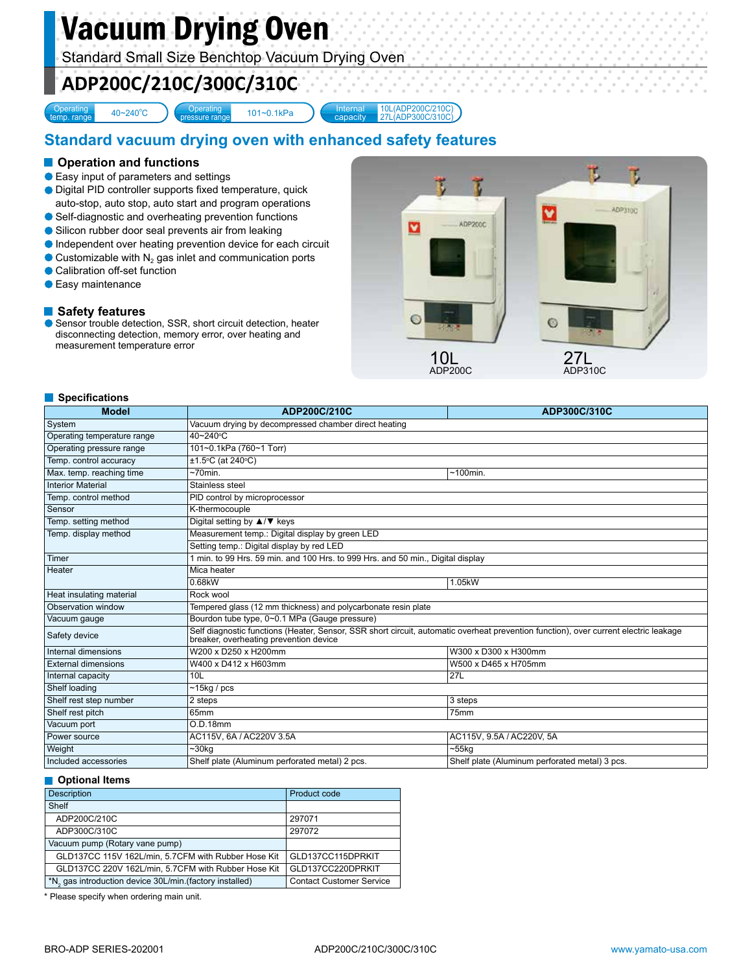# Vacuum Drying Oven

Standard Small Size Benchtop Vacuum Drying Oven

# **ADP200C/210C/300C/310C**

**Operating** 

40~240°C

essure ran

101~0.1kPa Internal capacity 10L(ADP200C/210C) 27L(ADP300C/310C)

# **Standard vacuum drying oven with enhanced safety features**

### **Operation and functions**

- Easy input of parameters and settings
- Digital PID controller supports fixed temperature, quick
- auto-stop, auto stop, auto start and program operations ● Self-diagnostic and overheating prevention functions
- Silicon rubber door seal prevents air from leaking
- Independent over heating prevention device for each circuit
- $\bullet$  Customizable with N<sub>2</sub> gas inlet and communication ports
- **Calibration off-set function**
- **Easy maintenance**

### **Safety features**

● Sensor trouble detection, SSR, short circuit detection, heater disconnecting detection, memory error, over heating and measurement temperature error



#### **Specifications**

| <b>Model</b>                | ADP200C/210C                                                                                                                                                                   | ADP300C/310C                                   |  |
|-----------------------------|--------------------------------------------------------------------------------------------------------------------------------------------------------------------------------|------------------------------------------------|--|
| System                      | Vacuum drying by decompressed chamber direct heating                                                                                                                           |                                                |  |
| Operating temperature range | 40~240°C                                                                                                                                                                       |                                                |  |
| Operating pressure range    | 101~0.1kPa (760~1 Torr)                                                                                                                                                        |                                                |  |
| Temp. control accuracy      | ±1.5°C (at 240°C)                                                                                                                                                              |                                                |  |
| Max. temp. reaching time    | $~5$ 70min.                                                                                                                                                                    | $~100$ min.                                    |  |
| <b>Interior Material</b>    | Stainless steel                                                                                                                                                                |                                                |  |
| Temp. control method        | PID control by microprocessor                                                                                                                                                  |                                                |  |
| Sensor                      | K-thermocouple                                                                                                                                                                 |                                                |  |
| Temp. setting method        | Digital setting by $\triangle$ / $\nabla$ keys                                                                                                                                 |                                                |  |
| Temp. display method        | Measurement temp.: Digital display by green LED                                                                                                                                |                                                |  |
|                             | Setting temp.: Digital display by red LED                                                                                                                                      |                                                |  |
| Timer                       | 1 min. to 99 Hrs. 59 min. and 100 Hrs. to 999 Hrs. and 50 min., Digital display                                                                                                |                                                |  |
| Heater                      | Mica heater                                                                                                                                                                    |                                                |  |
|                             | 0.68kW                                                                                                                                                                         | 1.05kW                                         |  |
| Heat insulating material    | Rock wool                                                                                                                                                                      |                                                |  |
| Observation window          | Tempered glass (12 mm thickness) and polycarbonate resin plate                                                                                                                 |                                                |  |
| Vacuum gauge                | Bourdon tube type, 0~0.1 MPa (Gauge pressure)                                                                                                                                  |                                                |  |
| Safety device               | Self diagnostic functions (Heater, Sensor, SSR short circuit, automatic overheat prevention function), over current electric leakage<br>breaker, overheating prevention device |                                                |  |
| Internal dimensions         | W200 x D250 x H200mm                                                                                                                                                           | W300 x D300 x H300mm                           |  |
| <b>External dimensions</b>  | W400 x D412 x H603mm                                                                                                                                                           | W500 x D465 x H705mm                           |  |
| Internal capacity           | 10 <sub>L</sub>                                                                                                                                                                | 27L                                            |  |
| Shelf loading               | $~15$ kg / pcs                                                                                                                                                                 |                                                |  |
| Shelf rest step number      | 2 steps                                                                                                                                                                        | 3 steps                                        |  |
| Shelf rest pitch            | 65mm                                                                                                                                                                           | 75mm                                           |  |
| Vacuum port                 | O.D.18mm                                                                                                                                                                       |                                                |  |
| Power source                | AC115V, 6A / AC220V 3.5A                                                                                                                                                       | AC115V, 9.5A / AC220V, 5A                      |  |
| Weight                      | $~1$ 30 $kg$                                                                                                                                                                   | $-55$ kg                                       |  |
| Included accessories        | Shelf plate (Aluminum perforated metal) 2 pcs.                                                                                                                                 | Shelf plate (Aluminum perforated metal) 3 pcs. |  |

#### **Optional Items**

| <b>Description</b>                                                   | Product code                    |
|----------------------------------------------------------------------|---------------------------------|
| Shelf                                                                |                                 |
| ADP200C/210C                                                         | 297071                          |
| ADP300C/310C                                                         | 297072                          |
| Vacuum pump (Rotary vane pump)                                       |                                 |
| GLD137CC 115V 162L/min, 5.7CFM with Rubber Hose Kit                  | GLD137CC115DPRKIT               |
| GLD137CC 220V 162L/min, 5.7CFM with Rubber Hose Kit                  | GLD137CC220DPRKIT               |
| *N <sub>2</sub> gas introduction device 30L/min. (factory installed) | <b>Contact Customer Service</b> |

\* Please specify when ordering main unit.